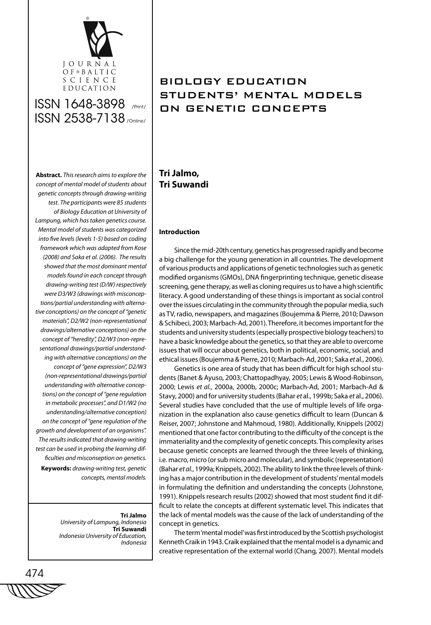

**Abstract.** *This research aims to explore the concept of mental model of students about genetic concepts through drawing-writing test. The participants were 85 students of Biology Education at University of Lampung, which has taken genetics course. Mental model of students was categorized into five levels (levels 1-5) based on coding framework which was adapted from Kose (2008) and Saka et al. (2006). The results showed that the most dominant mental models found in each concept through drawing-writing test (D/W) respectively were D3/W3 (drawings with misconceptions/partial understanding with alternative conceptions) on the concept of "genetic materials", D2/W2 (non-representational drawings/alternative conceptions) on the concept of "heredity", D2/W3 (non-representational drawings/partial understanding with alternative conceptions) on the concept of "gene expression", D2/W3 (non-representational drawings/partial understanding with alternative conceptions) on the concept of "gene regulation in metabolic processes", and D1/W2 (no understanding/alternative conception) on the concept of "gene regulation of the growth and development of an organisms". The results indicated that drawing-writing test can be used in probing the learning difficulties and misconseption on genetics.* **Keywords:** *drawing-writing test, genetic concepts, mental models.* 

> **Tri Jalmo** *University of Lampung, Indonesia* **Tri Suwandi** *Indonesia University of Education, Indonesia*

## BIOLOGY EDUCATION STUDENTS' MENTAL MODELS ON GENETIC CONCEPTS

## **Tri Jalmo, Tri Suwandi**

## **Introduction**

Since the mid-20th century, genetics has progressed rapidly and become a big challenge for the young generation in all countries. The development of various products and applications of genetic technologies such as genetic modified organisms (GMOs), DNA fingerprinting technique, genetic disease screening, gene therapy, as well as cloning requires us to have a high scientific literacy. A good understanding of these things is important as social control over the issues circulating in the community through the popular media, such as TV, radio, newspapers, and magazines (Boujemma & Pierre, 2010; Dawson & Schibeci, 2003; Marbach-Ad, 2001). Therefore, it becomes important for the students and university students (especially prospective biology teachers) to have a basic knowledge about the genetics, so that they are able to overcome issues that will occur about genetics, both in political, economic, social, and ethical issues (Boujemma & Pierre, 2010; Marbach-Ad, 2001; Saka *et* al., 2006).

Genetics is one area of study that has been difficult for high school students (Banet & Ayuso, 2003; Chattopadhyay, 2005; Lewis & Wood-Robinson, 2000; Lewis *et al.*, 2000a, 2000b, 2000c; Marbach-Ad, 2001; Marbach-Ad & Stavy, 2000) and for university students (Bahar *et* al., 1999b; Saka *et* al., 2006). Several studies have concluded that the use of multiple levels of life organization in the explanation also cause genetics difficult to learn (Duncan & Reiser, 2007; Johnstone and Mahmoud, 1980). Additionally, Knippels (2002) mentioned that one factor contributing to the difficulty of the concept is the immateriality and the complexity of genetic concepts. This complexity arises because genetic concepts are learned through the three levels of thinking, i.e. macro, micro (or sub micro and molecular), and symbolic (representation) (Bahar *et al.*, 1999a; Knippels, 2002). The ability to link the three levels of thinking has a major contribution in the development of students' mental models in formulating the definition and understanding the concepts (Johnstone, 1991). Knippels research results (2002) showed that most student find it difficult to relate the concepts at different systematic level. This indicates that the lack of mental models was the cause of the lack of understanding of the concept in genetics.

The term 'mental model' was first introduced by the Scottish psychologist Kenneth Craik in 1943. Craik explained that the mental model is a dynamic and creative representation of the external world (Chang, 2007). Mental models

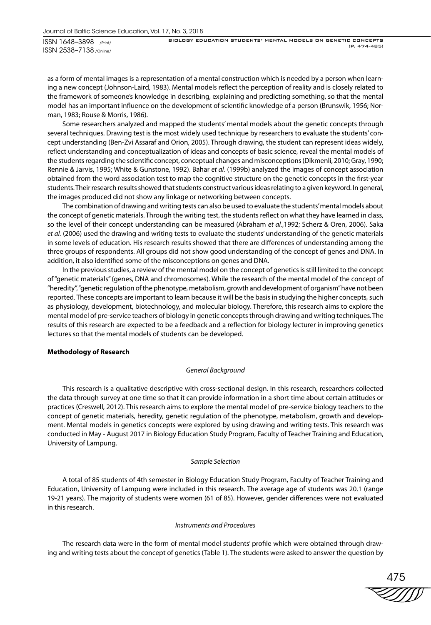BIOLOGY EDUCATION STUDENTS' MENTAL MODELS ON GENETIC CONCEPTS (P. 474-485)

as a form of mental images is a representation of a mental construction which is needed by a person when learning a new concept (Johnson-Laird, 1983). Mental models reflect the perception of reality and is closely related to the framework of someone's knowledge in describing, explaining and predicting something, so that the mental model has an important influence on the development of scientific knowledge of a person (Brunswik, 1956; Norman, 1983; Rouse & Morris, 1986).

Some researchers analyzed and mapped the students' mental models about the genetic concepts through several techniques. Drawing test is the most widely used technique by researchers to evaluate the students' concept understanding (Ben-Zvi Assaraf and Orion, 2005). Through drawing, the student can represent ideas widely, reflect understanding and conceptualization of ideas and concepts of basic science, reveal the mental models of the students regarding the scientific concept, conceptual changes and misconceptions (Dikmenli, 2010; Gray, 1990; Rennie & Jarvis, 1995; White & Gunstone, 1992). Bahar *et al.* (1999b) analyzed the images of concept association obtained from the word association test to map the cognitive structure on the genetic concepts in the first-year students. Their research results showed that students construct various ideas relating to a given keyword. In general, the images produced did not show any linkage or networking between concepts.

The combination of drawing and writing tests can also be used to evaluate the students' mental models about the concept of genetic materials. Through the writing test, the students reflect on what they have learned in class, so the level of their concept understanding can be measured (Abraham *et al.*,1992; Scherz & Oren, 2006). Saka *et al.* (2006) used the drawing and writing tests to evaluate the students' understanding of the genetic materials in some levels of education. His research results showed that there are differences of understanding among the three groups of respondents. All groups did not show good understanding of the concept of genes and DNA. In addition, it also identified some of the misconceptions on genes and DNA.

In the previous studies, a review of the mental model on the concept of genetics is still limited to the concept of "genetic materials" (genes, DNA and chromosomes). While the research of the mental model of the concept of "heredity", "genetic regulation of the phenotype, metabolism, growth and development of organism" have not been reported. These concepts are important to learn because it will be the basis in studying the higher concepts, such as physiology, development, biotechnology, and molecular biology. Therefore, this research aims to explore the mental model of pre-service teachers of biology in genetic concepts through drawing and writing techniques. The results of this research are expected to be a feedback and a reflection for biology lecturer in improving genetics lectures so that the mental models of students can be developed.

#### **Methodology of Research**

#### *General Background*

This research is a qualitative descriptive with cross-sectional design*.* In this research, researchers collected the data through survey at one time so that it can provide information in a short time about certain attitudes or practices (Creswell, 2012). This research aims to explore the mental model of pre-service biology teachers to the concept of genetic materials, heredity, genetic regulation of the phenotype, metabolism, growth and development. Mental models in genetics concepts were explored by using drawing and writing tests. This research was conducted in May - August 2017 in Biology Education Study Program, Faculty of Teacher Training and Education, University of Lampung.

#### *Sample Selection*

A total of 85 students of 4th semester in Biology Education Study Program, Faculty of Teacher Training and Education, University of Lampung were included in this research. The average age of students was 20.1 (range 19-21 years). The majority of students were women (61 of 85). However, gender differences were not evaluated in this research.

## *Instruments and Procedures*

The research data were in the form of mental model students' profile which were obtained through drawing and writing tests about the concept of genetics (Table 1). The students were asked to answer the question by

475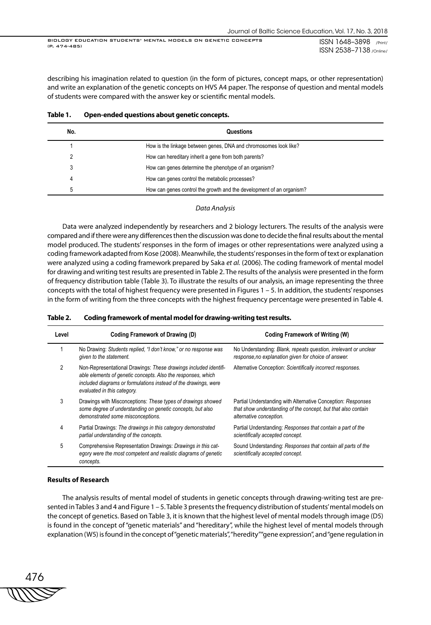ISSN 1648–3898 /Print/ ISSN 2538–7138 /Online/ BIOLOGY EDUCATION STUDENTS' MENTAL MODELS ON GENETIC CONCEPTS (P. 474-485)

describing his imagination related to question (in the form of pictures, concept maps, or other representation) and write an explanation of the genetic concepts on HVS A4 paper. The response of question and mental models of students were compared with the answer key or scientific mental models.

| No. | Questions                                                            |
|-----|----------------------------------------------------------------------|
|     | How is the linkage between genes, DNA and chromosomes look like?     |
|     | How can hereditary inherit a gene from both parents?                 |
| 3   | How can genes determine the phenotype of an organism?                |
|     | How can genes control the metabolic processes?                       |
| .h  | How can genes control the growth and the development of an organism? |

#### **Table 1. Open-ended questions about genetic concepts.**

#### *Data Analysis*

Data were analyzed independently by researchers and 2 biology lecturers. The results of the analysis were compared and if there were any differences then the discussion was done to decide the final results about the mental model produced. The students' responses in the form of images or other representations were analyzed using a coding framework adapted from Kose (2008). Meanwhile, the students' responses in the form of text or explanation were analyzed using a coding framework prepared by Saka *et al.* (2006). The coding framework of mental model for drawing and writing test results are presented in Table 2. The results of the analysis were presented in the form of frequency distribution table (Table 3). To illustrate the results of our analysis, an image representing the three concepts with the total of highest frequency were presented in Figures 1 – 5. In addition, the students' responses in the form of writing from the three concepts with the highest frequency percentage were presented in Table 4.

| Level | Coding Framework of Drawing (D)                                                                                                                                                                                                    | <b>Coding Framework of Writing (W)</b>                                                                                                                   |
|-------|------------------------------------------------------------------------------------------------------------------------------------------------------------------------------------------------------------------------------------|----------------------------------------------------------------------------------------------------------------------------------------------------------|
|       | No Drawing: Students replied, "I don't know," or no response was<br>given to the statement.                                                                                                                                        | No Understanding: Blank, repeats question, irrelevant or unclear<br>response, no explanation given for choice of answer.                                 |
| 2     | Non-Representational Drawings: These drawings included identifi-<br>able elements of genetic concepts. Also the responses, which<br>included diagrams or formulations instead of the drawings, were<br>evaluated in this category. | Alternative Conception: Scientifically incorrect responses.                                                                                              |
| 3     | Drawings with Misconceptions: These types of drawings showed<br>some degree of understanding on genetic concepts, but also<br>demonstrated some misconceptions.                                                                    | Partial Understanding with Alternative Conception: Responses<br>that show understanding of the concept, but that also contain<br>alternative conception. |
| 4     | Partial Drawings: The drawings in this category demonstrated<br>partial understanding of the concepts.                                                                                                                             | Partial Understanding: Responses that contain a part of the<br>scientifically accepted concept.                                                          |
| 5     | Comprehensive Representation Drawings: Drawings in this cat-<br>egory were the most competent and realistic diagrams of genetic<br>concepts.                                                                                       | Sound Understanding: Responses that contain all parts of the<br>scientifically accepted concept.                                                         |

#### **Table 2. Coding framework of mental model for drawing-writing test results.**

#### **Results of Research**

The analysis results of mental model of students in genetic concepts through drawing-writing test are presented in Tables 3 and 4 and Figure 1 – 5. Table 3 presents the frequency distribution of students' mental models on the concept of genetics. Based on Table 3, it is known that the highest level of mental models through image (D5) is found in the concept of "genetic materials" and "hereditary", while the highest level of mental models through explanation (W5) is found in the concept of "genetic materials", "heredity" "gene expression", and "gene regulation in

476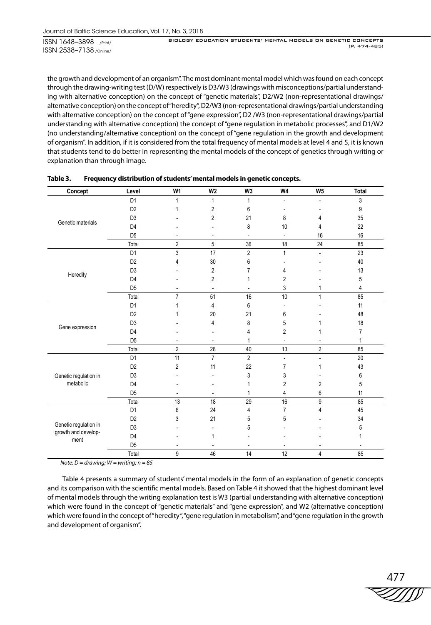BIOLOGY EDUCATION STUDENTS' MENTAL MODELS ON GENETIC CONCEPTS (P. 474-485)

the growth and development of an organism". The most dominant mental model which was found on each concept through the drawing-writing test (D/W) respectively is D3/W3 (drawings with misconceptions/partial understanding with alternative conception) on the concept of "genetic materials", D2/W2 (non-representational drawings/ alternative conception) on the concept of "heredity", D2/W3 (non-representational drawings/partial understanding with alternative conception) on the concept of "gene expression", D2 /W3 (non-representational drawings/partial understanding with alternative conception) the concept of "gene regulation in metabolic processes", and D1/W2 (no understanding/alternative conception) on the concept of "gene regulation in the growth and development of organism". In addition, if it is considered from the total frequency of mental models at level 4 and 5, it is known that students tend to do better in representing the mental models of the concept of genetics through writing or explanation than through image.

| Concept                                      | Level          | W <sub>1</sub>           | W <sub>2</sub>           | W <sub>3</sub>           | W4                       | W <sub>5</sub>           | <b>Total</b>             |
|----------------------------------------------|----------------|--------------------------|--------------------------|--------------------------|--------------------------|--------------------------|--------------------------|
|                                              | D <sub>1</sub> | 1                        | 1                        | 1                        |                          | $\overline{a}$           | 3                        |
|                                              | D <sub>2</sub> | 1                        | 2                        | 6                        |                          |                          | 9                        |
| Genetic materials                            | D <sub>3</sub> |                          | $\overline{2}$           | 21                       | 8                        | 4                        | 35                       |
|                                              | D <sub>4</sub> |                          |                          | 8                        | 10                       | 4                        | 22                       |
|                                              | D <sub>5</sub> |                          | $\overline{\phantom{a}}$ |                          | $\overline{\phantom{a}}$ | 16                       | 16                       |
|                                              | Total          | $\overline{2}$           | 5                        | 36                       | 18                       | 24                       | 85                       |
|                                              | D <sub>1</sub> | 3                        | 17                       | $\overline{2}$           | $\mathbf{1}$             | $\blacksquare$           | 23                       |
|                                              | D <sub>2</sub> | 4                        | 30                       | 6                        |                          |                          | 40                       |
| Heredity                                     | D <sub>3</sub> |                          | 2                        | 7                        | 4                        |                          | 13                       |
|                                              | D <sub>4</sub> |                          | $\overline{2}$           | 1                        | 2                        |                          | 5                        |
|                                              | D <sub>5</sub> | $\overline{\phantom{0}}$ | $\overline{\phantom{a}}$ | $\overline{\phantom{a}}$ | 3                        | 1                        | 4                        |
|                                              | Total          | $\overline{7}$           | 51                       | 16                       | 10                       | $\mathbf{1}$             | 85                       |
|                                              | D <sub>1</sub> | 1                        | $\overline{\mathbf{4}}$  | 6                        | $\blacksquare$           | $\overline{a}$           | 11                       |
|                                              | D <sub>2</sub> | 1                        | 20                       | 21                       | 6                        |                          | 48                       |
| Gene expression                              | D <sub>3</sub> |                          | 4                        | 8                        | 5                        |                          | 18                       |
|                                              | D <sub>4</sub> |                          |                          | 4                        | $\overline{2}$           | 1                        | $\overline{7}$           |
|                                              | D <sub>5</sub> |                          | $\overline{\phantom{0}}$ | 1                        | $\overline{\phantom{a}}$ |                          | 1                        |
|                                              | Total          | $\overline{c}$           | 28                       | 40                       | 13                       | $\overline{2}$           | 85                       |
|                                              | D <sub>1</sub> | 11                       | $\overline{7}$           | $\overline{2}$           | $\overline{\phantom{a}}$ | $\overline{\phantom{a}}$ | 20                       |
|                                              | D <sub>2</sub> | $\overline{2}$           | 11                       | 22                       | $\overline{7}$           | 1                        | 43                       |
| Genetic regulation in                        | D <sub>3</sub> |                          |                          | 3                        | 3                        |                          | 6                        |
| metabolic                                    | D <sub>4</sub> |                          |                          | 1                        | 2                        | $\overline{2}$           | 5                        |
|                                              | D <sub>5</sub> |                          | $\overline{\phantom{a}}$ | 1                        | 4                        | 6                        | 11                       |
|                                              | Total          | 13                       | 18                       | 29                       | 16                       | 9                        | 85                       |
|                                              | D <sub>1</sub> | 6                        | 24                       | $\overline{4}$           | $\overline{7}$           | $\overline{\mathbf{4}}$  | 45                       |
|                                              | D <sub>2</sub> | 3                        | 21                       | 5                        | 5                        |                          | 34                       |
| Genetic regulation in<br>growth and develop- | D <sub>3</sub> |                          |                          | 5                        |                          |                          | 5                        |
| ment                                         | D <sub>4</sub> |                          | 1                        |                          |                          |                          | 1                        |
|                                              | D <sub>5</sub> | $\overline{\phantom{a}}$ | $\overline{\phantom{a}}$ | $\overline{\phantom{a}}$ | $\overline{\phantom{a}}$ | $\overline{\phantom{a}}$ | $\overline{\phantom{a}}$ |
|                                              | Total          | 9                        | 46                       | 14                       | 12                       | 4                        | 85                       |

| Table 3. | Frequency distribution of students' mental models in genetic concepts. |
|----------|------------------------------------------------------------------------|
|----------|------------------------------------------------------------------------|

*Note: D = drawing; W = writing; n = 85*

Table 4 presents a summary of students' mental models in the form of an explanation of genetic concepts and its comparison with the scientific mental models. Based on Table 4 it showed that the highest dominant level of mental models through the writing explanation test is W3 (partial understanding with alternative conception) which were found in the concept of "genetic materials" and "gene expression", and W2 (alternative conception) which were found in the concept of "heredity", "gene regulation in metabolism", and "gene regulation in the growth and development of organism".

477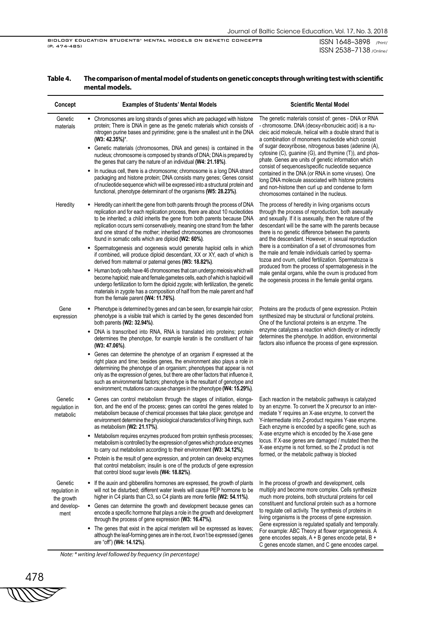C genes encode stamen, and C gene encodes carpel.

ISSN 1648–3898 /Print/ ISSN 2538–7138 /Online/

| Concept                                                        |           | <b>Examples of Students' Mental Models</b>                                                                                                                                                                                                                                                                                                                                                                                                                                | <b>Scientific Mental Model</b>                                                                                                                                                                                                                                                                                                                                                                           |  |  |
|----------------------------------------------------------------|-----------|---------------------------------------------------------------------------------------------------------------------------------------------------------------------------------------------------------------------------------------------------------------------------------------------------------------------------------------------------------------------------------------------------------------------------------------------------------------------------|----------------------------------------------------------------------------------------------------------------------------------------------------------------------------------------------------------------------------------------------------------------------------------------------------------------------------------------------------------------------------------------------------------|--|--|
| Genetic<br>materials                                           |           | • Chromosomes are long strands of genes which are packaged with histone<br>protein; There is DNA in gene as the genetic materials which consists of<br>nitrogen purine bases and pyrimidine; gene is the smallest unit in the DNA<br>$(W3: 42.35\%)^*$ .                                                                                                                                                                                                                  | The genetic materials consist of: genes - DNA or RNA<br>- chromosome. DNA (deoxy-ribonucleic acid) is a nu-<br>cleic acid molecule, helical with a double strand that is<br>a combination of monomers nucleotide which consist<br>of sugar deoxyribose, nitrogenous bases (adenine (A),<br>cytosine (C), guanine (G), and thymine (T)), and phos-<br>phate. Genes are units of genetic information which |  |  |
|                                                                |           | • Genetic materials (chromosomes, DNA and genes) is contained in the<br>nucleus; chromosome is composed by strands of DNA; DNA is prepared by<br>the genes that carry the nature of an individual (W4: 21.18%).                                                                                                                                                                                                                                                           |                                                                                                                                                                                                                                                                                                                                                                                                          |  |  |
|                                                                |           | • In nucleus cell, there is a chromosome; chromosome is a long DNA strand<br>packaging and histone protein; DNA consists many genes; Genes consist<br>of nucleotide sequence which will be expressed into a structural protein and<br>functional, phenotype determinant of the organisms (W5: 28.23%).                                                                                                                                                                    | consist of sequences/specific nucleotide sequence<br>contained in the DNA (or RNA in some viruses). One<br>long DNA molecule associated with histone proteins<br>and non-histone then curl up and condense to form<br>chromosomes contained in the nucleus.                                                                                                                                              |  |  |
| Heredity                                                       |           | Heredity can inherit the gene from both parents through the process of DNA<br>٠<br>replication and for each replication process, there are about 10 nucleotides<br>to be inherited; a child inherits the gene from both parents because DNA<br>replication occurs semi conservatively, meaning one strand from the father<br>and one strand of the mother; inherited chromosomes are chromosomes<br>found in somatic cells which are diploid (W2: 60%).                   | The process of heredity in living organisms occurs<br>through the process of reproduction, both asexually<br>and sexually. If it is asexually, then the nature of the<br>descendant will be the same with the parents because<br>there is no genetic difference between the parents<br>and the descendant. However, in sexual reproduction                                                               |  |  |
|                                                                |           | • Spermatogenesis and oogenesis would generate haploid cells in which<br>if combined, will produce diploid descendant, XX or XY, each of which is<br>derived from maternal or paternal genes (W3: 18.82%).                                                                                                                                                                                                                                                                | there is a combination of a set of chromosomes from<br>the male and female individuals carried by sperma-<br>tozoa and ovum, called fertilization. Spermatozoa is                                                                                                                                                                                                                                        |  |  |
|                                                                |           | • Human body cells have 46 chromosomes that can undergo meiosis which will<br>become haploid; male and female gametes cells, each of which is haploid will<br>undergo fertilization to form the diploid zygote; with fertilization, the genetic<br>materials in zygote has a composition of half from the male parent and half<br>from the female parent (W4: 11.76%).                                                                                                    | produced from the process of spermatogenesis in the<br>male genital organs, while the ovum is produced from<br>the oogenesis process in the female genital organs.                                                                                                                                                                                                                                       |  |  |
| Gene<br>expression                                             |           | • Phenotype is determined by genes and can be seen, for example hair color;<br>phenotype is a visible trait which is carried by the genes descended from<br>both parents (W2: 32.94%).                                                                                                                                                                                                                                                                                    | Proteins are the products of gene expression. Protein<br>synthesized may be structural or functional proteins.<br>One of the functional proteins is an enzyme. The                                                                                                                                                                                                                                       |  |  |
|                                                                | $\bullet$ | DNA is transcribed into RNA, RNA is translated into proteins; protein<br>determines the phenotype, for example keratin is the constituent of hair<br>(W3: 47.06%).                                                                                                                                                                                                                                                                                                        | enzyme catalyzes a reaction which directly or indirectly<br>determines the phenotype. In addition, environmental<br>factors also influence the process of gene expression.                                                                                                                                                                                                                               |  |  |
|                                                                |           | • Genes can determine the phenotype of an organism if expressed at the<br>right place and time; besides genes, the environment also plays a role in<br>determining the phenotype of an organism; phenotypes that appear is not<br>only as the expression of genes, but there are other factors that influence it,<br>such as environmental factors; phenotype is the resultant of genotype and<br>environment; mutations can cause changes in the phenotype (W4: 15.29%). |                                                                                                                                                                                                                                                                                                                                                                                                          |  |  |
| Genetic<br>regulation in<br>metabolic                          |           | • Genes can control metabolism through the stages of initiation, elonga-<br>tion, and the end of the process; genes can control the genes related to<br>metabolism because of chemical processes that take place; genotype and<br>environment determine the physiological characteristics of living things, such<br>as metabolism (W2: 21.17%).                                                                                                                           | Each reaction in the metabolic pathways is catalyzed<br>by an enzyme. To convert the X precursor to an inter-<br>mediate Y requires an X-ase enzyme, to convert the<br>Y-intermediate into Z-product requires Y-ase enzyme.<br>Each enzyme is encoded by a specific gene, such as                                                                                                                        |  |  |
|                                                                |           | Metabolism requires enzymes produced from protein synthesis processes;<br>metabolism is controlled by the expression of genes which produce enzymes<br>to carry out metabolism according to their environment (W3: 34.12%).                                                                                                                                                                                                                                               | X-ase enzyme which is encoded by the X-ase gene<br>locus. If X-ase genes are damaged / mutated then the<br>X-ase enzyme is not formed, so the Z product is not                                                                                                                                                                                                                                           |  |  |
|                                                                |           | • Protein is the result of gene expression, and protein can develop enzymes<br>that control metabolism; insulin is one of the products of gene expression<br>that control blood sugar levels (W4: 18.82%).                                                                                                                                                                                                                                                                | formed, or the metabolic pathway is blocked                                                                                                                                                                                                                                                                                                                                                              |  |  |
| Genetic<br>regulation in<br>the growth<br>and develop-<br>ment |           | • If the auxin and gibberellins hormones are expressed, the growth of plants<br>will not be disturbed; different water levels will cause PEP hormone to be<br>higher in C4 plants than C3, so C4 plants are more fertile (W2: 54.11%).                                                                                                                                                                                                                                    | In the process of growth and development, cells<br>multiply and become more complex. Cells synthesize<br>much more proteins, both structural proteins for cell                                                                                                                                                                                                                                           |  |  |
|                                                                |           | • Genes can determine the growth and development because genes can<br>encode a specific hormone that plays a role in the growth and development<br>through the process of gene expression (W3: 16.47%).                                                                                                                                                                                                                                                                   | constituent and functional protein such as a hormone<br>to regulate cell activity. The synthesis of proteins in<br>living organisms is the process of gene expression.                                                                                                                                                                                                                                   |  |  |
|                                                                |           | • The genes that exist in the apical meristem will be expressed as leaves;<br>although the leaf-forming genes are in the root, it won't be expressed (genes<br>are "off") (W4: 14.12%).                                                                                                                                                                                                                                                                                   | Gene expression is regulated spatially and temporally.<br>For example: ABC Theory at flower organogenesis. A<br>gene encodes sepals, A + B genes encode petal, B +<br>C genes encode stamen, and C gene encodes carnel                                                                                                                                                                                   |  |  |

## **Table 4. The comparison of mental model of students on genetic concepts through writing test with scientific mental models.**

*Note: \* writing level followed by frequency (in percentage)*

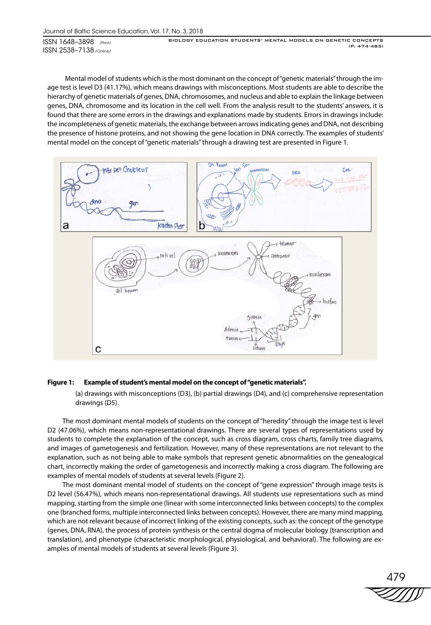BIOLOGY EDUCATION STUDENTS' MENTAL MODELS ON GENETIC CONCEPTS (P. 474-485)

 Mental model of students which is the most dominant on the concept of "genetic materials" through the image test is level D3 (41.17%), which means drawings with misconceptions. Most students are able to describe the hierarchy of genetic materials of genes, DNA, chromosomes, and nucleus and able to explain the linkage between genes, DNA, chromosome and its location in the cell well. From the analysis result to the students' answers, it is found that there are some errors in the drawings and explanations made by students. Errors in drawings include: the incompleteness of genetic materials, the exchange between arrows indicating genes and DNA, not describing the presence of histone proteins, and not showing the gene location in DNA correctly. The examples of students' mental model on the concept of "genetic materials" through a drawing test are presented in Figure 1.



## **Figure 1: Example of student's mental model on the concept of "genetic materials".**

(a) drawings with misconceptions (D3), (b) partial drawings (D4), and (c) comprehensive representation drawings (D5).

The most dominant mental models of students on the concept of "heredity" through the image test is level D2 (47.06%), which means non-representational drawings. There are several types of representations used by students to complete the explanation of the concept, such as cross diagram, cross charts, family tree diagrams, and images of gametogenesis and fertilization. However, many of these representations are not relevant to the explanation, such as not being able to make symbols that represent genetic abnormalities on the genealogical chart, incorrectly making the order of gametogenesis and incorrectly making a cross diagram. The following are examples of mental models of students at several levels (Figure 2).

The most dominant mental model of students on the concept of "gene expression" through image tests is D2 level (56.47%), which means non-representational drawings. All students use representations such as mind mapping, starting from the simple one (linear with some interconnected links between concepts) to the complex one (branched forms, multiple interconnected links between concepts). However, there are many mind mapping, which are not relevant because of incorrect linking of the existing concepts, such as: the concept of the genotype (genes, DNA, RNA), the process of protein synthesis or the central dogma of molecular biology (transcription and translation), and phenotype (characteristic morphological, physiological, and behavioral). The following are examples of mental models of students at several levels (Figure 3).

479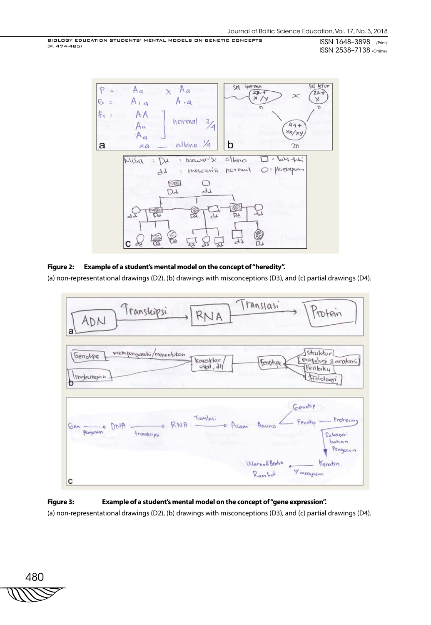BIOLOGY EDUCATION STUDENTS' MENTAL MODELS ON GENETIC CONCEPTS (P. 474-485)

ISSN 1648–3898 /Print/ ISSN 2538–7138 /Online/



## **Figure 2: Example of a student's mental model on the concept of "heredity".**

(a) non-representational drawings (D2), (b) drawings with misconceptions (D3), and (c) partial drawings (D4).



## **Figure 3: Example of a student's mental model on the concept of "gene expression".**

(a) non-representational drawings (D2), (b) drawings with misconceptions (D3), and (c) partial drawings (D4).

480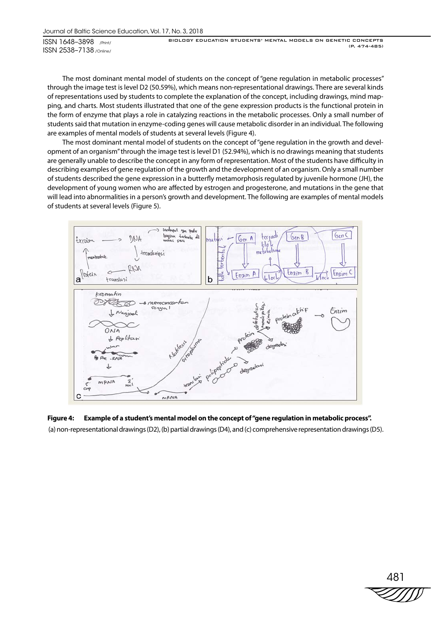BIOLOGY EDUCATION STUDENTS' MENTAL MODELS ON GENETIC CONCEPTS (P. 474-485)

The most dominant mental model of students on the concept of "gene regulation in metabolic processes" through the image test is level D2 (50.59%), which means non-representational drawings. There are several kinds of representations used by students to complete the explanation of the concept, including drawings, mind mapping, and charts. Most students illustrated that one of the gene expression products is the functional protein in the form of enzyme that plays a role in catalyzing reactions in the metabolic processes. Only a small number of students said that mutation in enzyme-coding genes will cause metabolic disorder in an individual. The following are examples of mental models of students at several levels (Figure 4).

The most dominant mental model of students on the concept of "gene regulation in the growth and development of an organism" through the image test is level D1 (52.94%), which is no drawings meaning that students are generally unable to describe the concept in any form of representation. Most of the students have difficulty in describing examples of gene regulation of the growth and the development of an organism. Only a small number of students described the gene expression in a butterfly metamorphosis regulated by juvenile hormone (JH), the development of young women who are affected by estrogen and progesterone, and mutations in the gene that will lead into abnormalities in a person's growth and development. The following are examples of mental models of students at several levels (Figure 5).



## **Figure 4: Example of a student's mental model on the concept of "gene regulation in metabolic process".**  (a) non-representational drawings (D2), (b) partial drawings (D4), and (c) comprehensive representation drawings (D5).

$$
\overset{481}{\text{2011}}
$$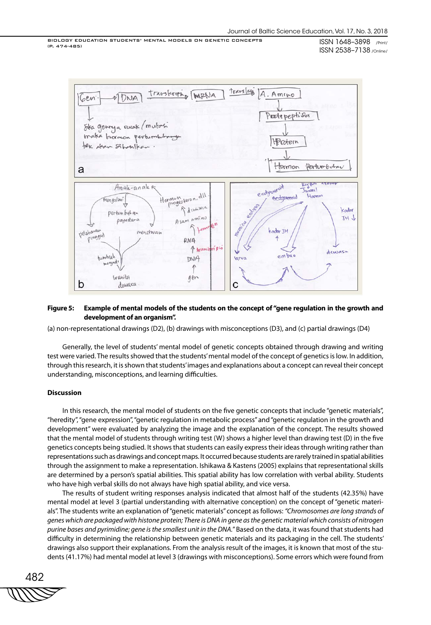BIOLOGY EDUCATION STUDENTS' MENTAL MODELS ON GENETIC CONCEPTS (P. 474-485)

ISSN 1648–3898 /Print/ ISSN 2538–7138 /Online/



### **Figure 5: Example of mental models of the students on the concept of "gene regulation in the growth and development of an organism".**

(a) non-representational drawings (D2), (b) drawings with misconceptions (D3), and (c) partial drawings (D4)

Generally, the level of students' mental model of genetic concepts obtained through drawing and writing test were varied. The results showed that the students' mental model of the concept of genetics is low. In addition, through this research, it is shown that students' images and explanations about a concept can reveal their concept understanding, misconceptions, and learning difficulties.

### **Discussion**

In this research, the mental model of students on the five genetic concepts that include "genetic materials", "heredity", "gene expression", "genetic regulation in metabolic process" and "genetic regulation in the growth and development" were evaluated by analyzing the image and the explanation of the concept. The results showed that the mental model of students through writing test (W) shows a higher level than drawing test (D) in the five genetics concepts being studied. It shows that students can easily express their ideas through writing rather than representations such as drawings and concept maps. It occurred because students are rarely trained in spatial abilities through the assignment to make a representation. Ishikawa & Kastens (2005) explains that representational skills are determined by a person's spatial abilities. This spatial ability has low correlation with verbal ability. Students who have high verbal skills do not always have high spatial ability, and vice versa.

The results of student writing responses analysis indicated that almost half of the students (42.35%) have mental model at level 3 (partial understanding with alternative conception) on the concept of "genetic materials". The students write an explanation of "genetic materials" concept as follows: *"Chromosomes are long strands of genes which are packaged with histone protein; There is DNA in gene as the genetic material which consists of nitrogen purine bases and pyrimidine; gene is the smallest unit in the DNA.*" Based on the data, it was found that students had difficulty in determining the relationship between genetic materials and its packaging in the cell. The students' drawings also support their explanations. From the analysis result of the images, it is known that most of the students (41.17%) had mental model at level 3 (drawings with misconceptions). Some errors which were found from

482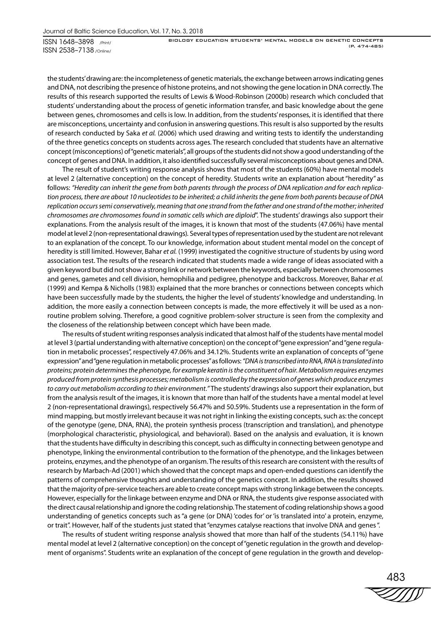BIOLOGY EDUCATION STUDENTS' MENTAL MODELS ON GENETIC CONCEPTS (P. 474-485)

the students' drawing are: the incompleteness of genetic materials, the exchange between arrows indicating genes and DNA, not describing the presence of histone proteins, and not showing the gene location in DNA correctly. The results of this research supported the results of Lewis & Wood-Robinson (2000b) research which concluded that students' understanding about the process of genetic information transfer, and basic knowledge about the gene between genes, chromosomes and cells is low. In addition, from the students' responses, it is identified that there are misconceptions, uncertainty and confusion in answering questions. This result is also supported by the results of research conducted by Saka *et al.* (2006) which used drawing and writing tests to identify the understanding of the three genetics concepts on students across ages. The research concluded that students have an alternative concept (misconceptions) of "genetic materials", all groups of the students did not show a good understanding of the concept of genes and DNA. In addition, it also identified successfully several misconceptions about genes and DNA.

The result of student's writing response analysis shows that most of the students (60%) have mental models at level 2 (alternative conception) on the concept of heredity. Students write an explanation about "heredity" as follows: *"Heredity can inherit the gene from both parents through the process of DNA replication and for each replication process, there are about 10 nucleotides to be inherited; a child inherits the gene from both parents because of DNA replication occurs semi conservatively, meaning that one strand from the father and one strand of the mother; inherited chromosomes are chromosomes found in somatic cells which are diploid*". The students' drawings also support their explanations. From the analysis result of the images, it is known that most of the students (47.06%) have mental model at level 2 (non-representational drawings)*.* Several types of representation used by the student are not relevant to an explanation of the concept. To our knowledge, information about student mental model on the concept of heredity is still limited. However, Bahar *et al.* (1999) investigated the cognitive structure of students by using word association test. The results of the research indicated that students made a wide range of ideas associated with a given keyword but did not show a strong link or network between the keywords, especially between chromosomes and genes, gametes and cell division, hemophilia and pedigree, phenotype and backcross. Moreover, Bahar *et al.* (1999) and Kempa & Nicholls (1983) explained that the more branches or connections between concepts which have been successfully made by the students, the higher the level of students' knowledge and understanding. In addition, the more easily a connection between concepts is made, the more effectively it will be used as a nonroutine problem solving. Therefore, a good cognitive problem-solver structure is seen from the complexity and the closeness of the relationship between concept which have been made.

The results of student writing responses analysis indicated that almost half of the students have mental model at level 3 (partial understanding with alternative conception) on the concept of "gene expression" and "gene regulation in metabolic processes", respectively 47.06% and 34.12%. Students write an explanation of concepts of "gene expression" and "gene regulation in metabolic processes" as follows: *"DNA is transcribed into RNA, RNA is translated into proteins; protein determines the phenotype, for example keratin is the constituent of hair. Metabolism requires enzymes produced from protein synthesis processes; metabolism is controlled by the expression of genes which produce enzymes to carry out metabolism according to their environment*.*"* The students' drawings also support their explanation, but from the analysis result of the images, it is known that more than half of the students have a mental model at level 2 (non-representational drawings), respectively 56.47% and 50.59%. Students use a representation in the form of mind mapping, but mostly irrelevant because it was not right in linking the existing concepts, such as: the concept of the genotype (gene, DNA, RNA), the protein synthesis process (transcription and translation), and phenotype (morphological characteristic, physiological, and behavioral). Based on the analysis and evaluation, it is known that the students have difficulty in describing this concept, such as difficulty in connecting between genotype and phenotype, linking the environmental contribution to the formation of the phenotype, and the linkages between proteins, enzymes, and the phenotype of an organism. The results of this research are consistent with the results of research by Marbach-Ad (2001) which showed that the concept maps and open-ended questions can identify the patterns of comprehensive thoughts and understanding of the genetics concept. In addition, the results showed that the majority of pre-service teachers are able to create concept maps with strong linkage between the concepts. However, especially for the linkage between enzyme and DNA or RNA, the students give response associated with the direct causal relationship and ignore the coding relationship. The statement of coding relationship shows a good understanding of genetics concepts such as "a gene (or DNA) 'codes for' or 'is translated into' a protein, enzyme, or trait". However, half of the students just stated that "enzymes catalyse reactions that involve DNA and genes ".

The results of student writing response analysis showed that more than half of the students (54.11%) have mental model at level 2 (alternative conception) on the concept of "genetic regulation in the growth and development of organisms". Students write an explanation of the concept of gene regulation in the growth and develop-

483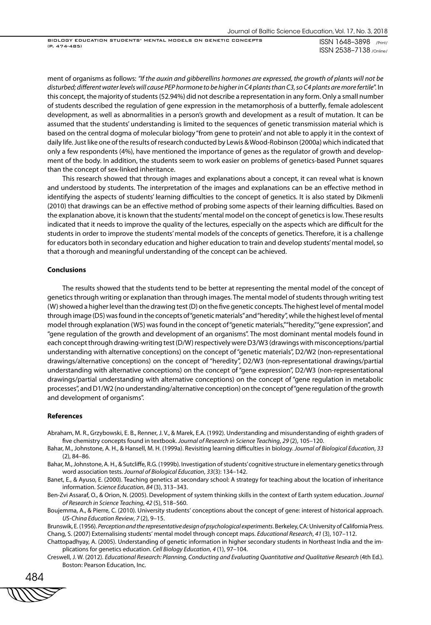BIOLOGY EDUCATION STUDENTS' MENTAL MODELS ON GENETIC CONCEPTS (P. 474-485)

ISSN 1648–3898 /Print/ ISSN 2538–7138 /Online/

ment of organisms as follows: *"If the auxin and gibberellins hormones are expressed, the growth of plants will not be disturbed; different water levels will cause PEP hormone to be higher in C4 plants than C3, so C4 plants are more fertile*". In this concept, the majority of students (52.94%) did not describe a representation in any form. Only a small number of students described the regulation of gene expression in the metamorphosis of a butterfly, female adolescent development, as well as abnormalities in a person's growth and development as a result of mutation. It can be assumed that the students' understanding is limited to the sequences of genetic transmission material which is based on the central dogma of molecular biology "from gene to protein' and not able to apply it in the context of daily life. Just like one of the results of research conducted by Lewis & Wood-Robinson (2000a) which indicated that only a few respondents (4%), have mentioned the importance of genes as the regulator of growth and development of the body. In addition, the students seem to work easier on problems of genetics-based Punnet squares than the concept of sex-linked inheritance.

This research showed that through images and explanations about a concept, it can reveal what is known and understood by students. The interpretation of the images and explanations can be an effective method in identifying the aspects of students' learning difficulties to the concept of genetics. It is also stated by Dikmenli (2010) that drawings can be an effective method of probing some aspects of their learning difficulties. Based on the explanation above, it is known that the students' mental model on the concept of genetics is low. These results indicated that it needs to improve the quality of the lectures, especially on the aspects which are difficult for the students in order to improve the students' mental models of the concepts of genetics. Therefore, it is a challenge for educators both in secondary education and higher education to train and develop students' mental model, so that a thorough and meaningful understanding of the concept can be achieved.

#### **Conclusions**

The results showed that the students tend to be better at representing the mental model of the concept of genetics through writing or explanation than through images. The mental model of students through writing test (W) showed a higher level than the drawing test (D) on the five genetic concepts. The highest level of mental model through image (D5) was found in the concepts of "genetic materials" and "heredity", while the highest level of mental model through explanation (W5) was found in the concept of "genetic materials," "heredity," "gene expression", and "gene regulation of the growth and development of an organisms". The most dominant mental models found in each concept through drawing-writing test (D/W) respectively were D3/W3 (drawings with misconceptions/partial understanding with alternative conceptions) on the concept of "genetic materials", D2/W2 (non-representational drawings/alternative conceptions) on the concept of "heredity", D2/W3 (non-representational drawings/partial understanding with alternative conceptions) on the concept of "gene expression", D2/W3 (non-representational drawings/partial understanding with alternative conceptions) on the concept of "gene regulation in metabolic processes", and D1/W2 (no understanding/alternative conception) on the concept of "gene regulation of the growth and development of organisms".

#### **References**

- Abraham, M. R., Grzybowski, E. B., Renner, J. V., & Marek, E.A. (1992). Understanding and misunderstanding of eighth graders of five chemistry concepts found in textbook. *Journal of Research in Science Teaching*, *29* (2), 105–120.
- Bahar, M., Johnstone, A. H., & Hansell, M. H. (1999a). Revisiting learning difficulties in biology. *Journal of Biological Education*, *33*  (2), 84–86.
- Bahar, M., Johnstone, A. H., & Sutcliffe, R.G. (1999b). Investigation of students' cognitive structure in elementary genetics through word association tests. *Journal of Biological Education*, *33*(3): 134–142.
- Banet, E., & Ayuso, E. (2000). Teaching genetics at secondary school: A strategy for teaching about the location of inheritance information. *Science Education*, *84* (3), 313–343.
- Ben-Zvi Assaraf, O., & Orion, N. (2005). Development of system thinking skills in the context of Earth system education. *Journal of Research in Science Teaching*, *42* (5), 518–560.
- Boujemma, A., & Pierre, C. (2010). University students' conceptions about the concept of gene: interest of historical approach. *US-China Education Review*, *7* (2), 9–15.

Brunswik, E. (1956). *Perception and the representative design of psychological experiments*. Berkeley, CA: University of California Press. Chang, S. (2007) Externalising students' mental model through concept maps. *Educational Research*, *41* (3), 107–112.

Chattopadhyay, A. (2005). Understanding of genetic information in higher secondary students in Northeast India and the implications for genetics education. *Cell Biology Education*, *4* (1), 97–104.

Creswell, J. W. (2012). *Educational Research: Planning, Conducting and Evaluating Quantitative and Qualitative Research* (4th Ed.). Boston: Pearson Education, Inc.

484